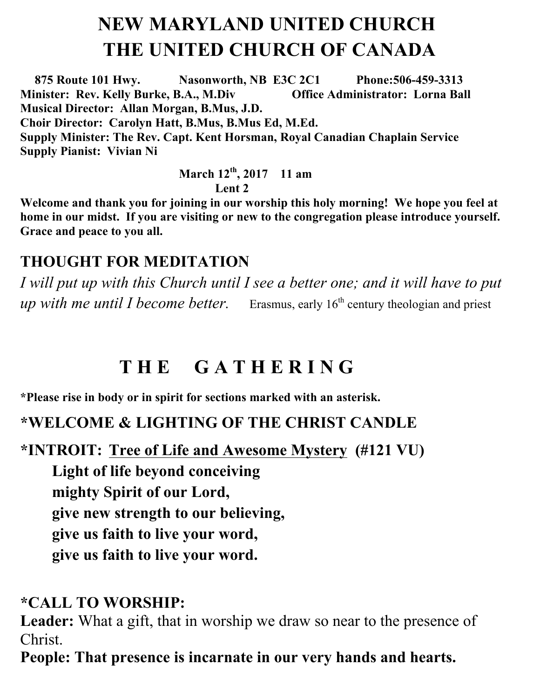# **NEW MARYLAND UNITED CHURCH THE UNITED CHURCH OF CANADA**

 **875 Route 101 Hwy. Nasonworth, NB E3C 2C1 Phone:506-459-3313 Minister: Rev. Kelly Burke, B.A., M.Div Office Administrator: Lorna Ball Musical Director: Allan Morgan, B.Mus, J.D. Choir Director: Carolyn Hatt, B.Mus, B.Mus Ed, M.Ed. Supply Minister: The Rev. Capt. Kent Horsman, Royal Canadian Chaplain Service Supply Pianist: Vivian Ni** 

> **March 12th , 2017 11 am Lent 2**

**Welcome and thank you for joining in our worship this holy morning! We hope you feel at home in our midst. If you are visiting or new to the congregation please introduce yourself. Grace and peace to you all.**

### **THOUGHT FOR MEDITATION**

*I will put up with this Church until I see a better one; and it will have to put up with me until I become better.* Erasmus, early 16<sup>th</sup> century theologian and priest

# **T H E G A T H E R I N G**

**\*Please rise in body or in spirit for sections marked with an asterisk.**

### **\*WELCOME & LIGHTING OF THE CHRIST CANDLE**

**\*INTROIT: Tree of Life and Awesome Mystery (#121 VU)** 

**Light of life beyond conceiving mighty Spirit of our Lord, give new strength to our believing, give us faith to live your word, give us faith to live your word.**

### **\*CALL TO WORSHIP:**

**Leader:** What a gift, that in worship we draw so near to the presence of Christ.

**People: That presence is incarnate in our very hands and hearts.**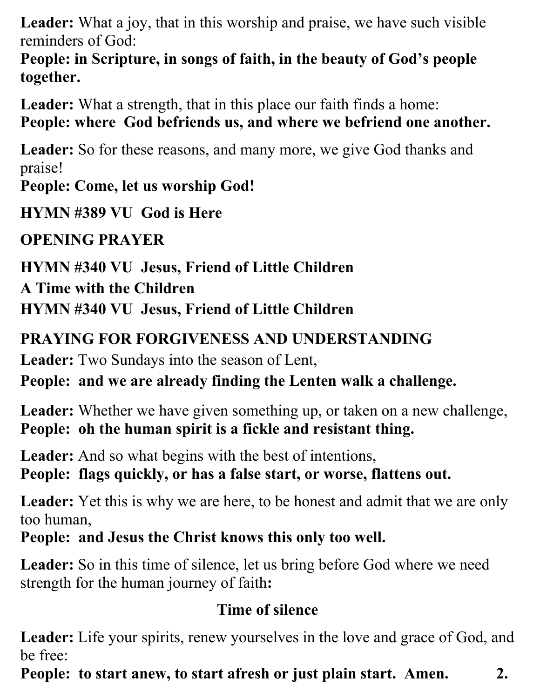**Leader:** What a joy, that in this worship and praise, we have such visible reminders of God:

**People: in Scripture, in songs of faith, in the beauty of God's people together.**

**Leader:** What a strength, that in this place our faith finds a home:

### **People: where God befriends us, and where we befriend one another.**

**Leader:** So for these reasons, and many more, we give God thanks and praise!

**People: Come, let us worship God!**

**HYMN #389 VU God is Here**

**OPENING PRAYER** 

**HYMN #340 VU Jesus, Friend of Little Children** 

**A Time with the Children** 

**HYMN #340 VU Jesus, Friend of Little Children** 

### **PRAYING FOR FORGIVENESS AND UNDERSTANDING**

**Leader:** Two Sundays into the season of Lent,

**People: and we are already finding the Lenten walk a challenge.**

**Leader:** Whether we have given something up, or taken on a new challenge, **People: oh the human spirit is a fickle and resistant thing.** 

**Leader:** And so what begins with the best of intentions,

**People: flags quickly, or has a false start, or worse, flattens out.**

**Leader:** Yet this is why we are here, to be honest and admit that we are only too human,

**People: and Jesus the Christ knows this only too well.**

Leader: So in this time of silence, let us bring before God where we need strength for the human journey of faith**:**

### **Time of silence**

Leader: Life your spirits, renew yourselves in the love and grace of God, and be free:

**People: to start anew, to start afresh or just plain start. Amen. 2.**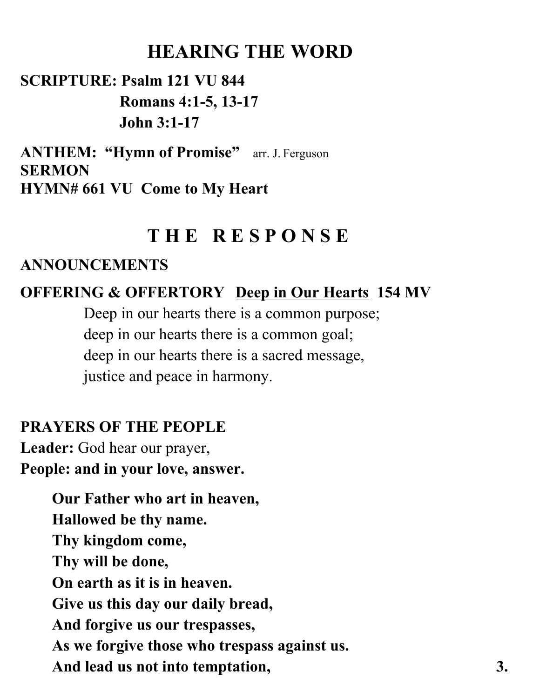## **HEARING THE WORD**

### **SCRIPTURE: Psalm 121 VU 844 Romans 4:1-5, 13-17 John 3:1-17**

**ANTHEM: "Hymn of Promise"** arr. J. Ferguson **SERMON HYMN# 661 VU Come to My Heart** 

### **T H E R E S P O N S E**

#### **ANNOUNCEMENTS**

### **OFFERING & OFFERTORY Deep in Our Hearts 154 MV**

Deep in our hearts there is a common purpose; deep in our hearts there is a common goal; deep in our hearts there is a sacred message, justice and peace in harmony.

#### **PRAYERS OF THE PEOPLE**

**Leader:** God hear our prayer, **People: and in your love, answer.**

> **Our Father who art in heaven, Hallowed be thy name. Thy kingdom come, Thy will be done, On earth as it is in heaven. Give us this day our daily bread, And forgive us our trespasses, As we forgive those who trespass against us.**  And lead us not into temptation, 3.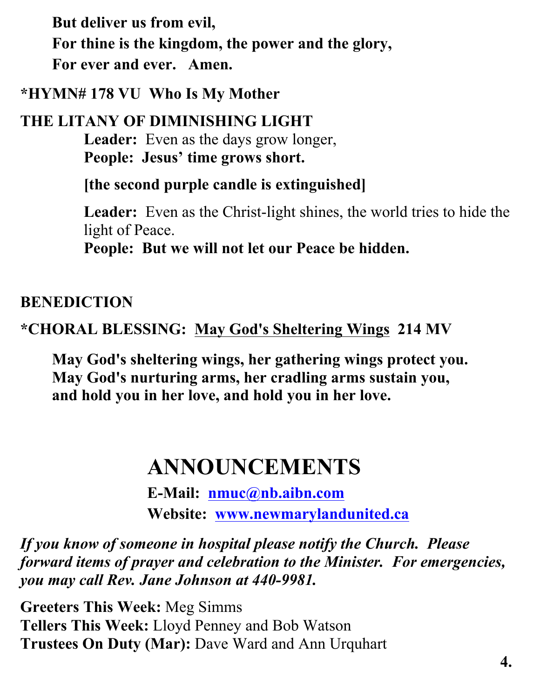**But deliver us from evil, For thine is the kingdom, the power and the glory, For ever and ever. Amen.** 

**\*HYMN# 178 VU Who Is My Mother**

**THE LITANY OF DIMINISHING LIGHT Leader:** Even as the days grow longer, **People: Jesus' time grows short.** 

**[the second purple candle is extinguished]**

Leader: Even as the Christ-light shines, the world tries to hide the light of Peace.

**People: But we will not let our Peace be hidden.**

#### **BENEDICTION**

### **\*CHORAL BLESSING: May God's Sheltering Wings 214 MV**

**May God's sheltering wings, her gathering wings protect you. May God's nurturing arms, her cradling arms sustain you, and hold you in her love, and hold you in her love.**

# **ANNOUNCEMENTS**

**E-Mail: nmuc@nb.aibn.com Website: www.newmarylandunited.ca**

*If you know of someone in hospital please notify the Church. Please forward items of prayer and celebration to the Minister. For emergencies, you may call Rev. Jane Johnson at 440-9981.*

**Greeters This Week:** Meg Simms **Tellers This Week:** Lloyd Penney and Bob Watson **Trustees On Duty (Mar):** Dave Ward and Ann Urquhart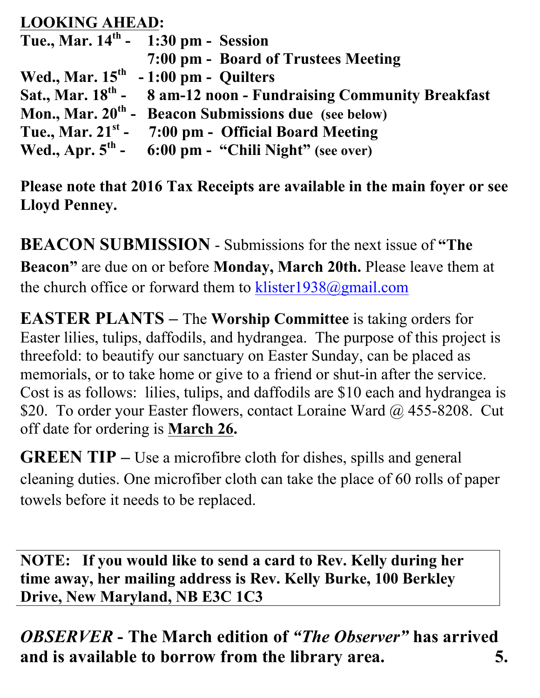### **LOOKING AHEAD:**

| Tue., Mar. $14^{th}$ - 1:30 pm - Session                                     |
|------------------------------------------------------------------------------|
| 7:00 pm - Board of Trustees Meeting                                          |
| Wed., Mar. $15th - 1:00$ pm - Quilters                                       |
| Sat., Mar. 18 <sup>th</sup> - 8 am-12 noon - Fundraising Community Breakfast |
| Mon., Mar. 20 <sup>th</sup> - Beacon Submissions due (see below)             |
| Tue., Mar. $21^{st}$ - 7:00 pm - Official Board Meeting                      |
| Wed., Apr. $5th$ - 6:00 pm - "Chili Night" (see over)                        |

**Please note that 2016 Tax Receipts are available in the main foyer or see Lloyd Penney.**

**BEACON SUBMISSION** - Submissions for the next issue of **"The Beacon"** are due on or before **Monday, March 20th.** Please leave them at the church office or forward them to klister1938@gmail.com

**EASTER PLANTS –** The **Worship Committee** is taking orders for Easter lilies, tulips, daffodils, and hydrangea. The purpose of this project is threefold: to beautify our sanctuary on Easter Sunday, can be placed as memorials, or to take home or give to a friend or shut-in after the service. Cost is as follows: lilies, tulips, and daffodils are \$10 each and hydrangea is \$20. To order your Easter flowers, contact Loraine Ward @ 455-8208. Cut off date for ordering is **March 26.**

**GREEN TIP –** Use a microfibre cloth for dishes, spills and general cleaning duties. One microfiber cloth can take the place of 60 rolls of paper towels before it needs to be replaced.

**NOTE: If you would like to send a card to Rev. Kelly during her time away, her mailing address is Rev. Kelly Burke, 100 Berkley Drive, New Maryland, NB E3C 1C3**

*OBSERVER* **- The March edition of** *"The Observer"* **has arrived and is available to borrow from the library area. 5.**